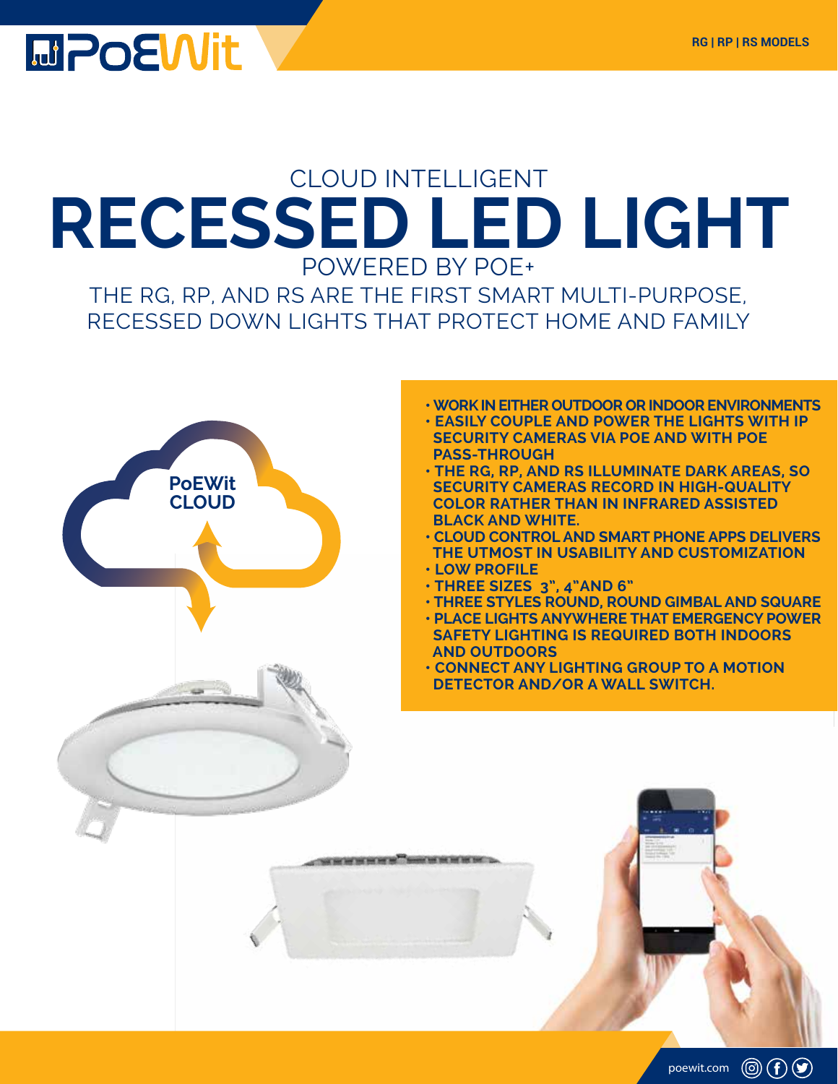### CLOUD INTELLIGENT **RECESSED LED LIGHT** POWERED BY POE+

THE RG, RP, AND RS ARE THE FIRST SMART MULTI-PURPOSE, RECESSED DOWN LIGHTS THAT PROTECT HOME AND FAMILY



- **• WORK IN EITHER OUTDOOR OR INDOOR ENVIRONMENTS**
- **EASILY COUPLE AND POWER THE LIGHTS WITH IP SECURITY CAMERAS VIA POE AND WITH POE PASS-THROUGH**
- **THE RG, RP, AND RS ILLUMINATE DARK AREAS, SO SECURITY CAMERAS RECORD IN HIGH-QUALITY COLOR RATHER THAN IN INFRARED ASSISTED BLACK AND WHITE.**
- **CLOUD CONTROL AND SMART PHONE APPS DELIVERS THE UTMOST IN USABILITY AND CUSTOMIZATION**
- **LOW PROFILE**
- **THREE SIZES 3", 4"AND 6"**
- **THREE STYLES ROUND, ROUND GIMBAL AND SQUARE**
- **PLACE LIGHTS ANYWHERE THAT EMERGENCY POWER SAFETY LIGHTING IS REQUIRED BOTH INDOORS AND OUTDOORS**

poewit.com

 $\circledcirc$  (f)  $\circledcirc$ 

**• CONNECT ANY LIGHTING GROUP TO A MOTION DETECTOR AND/OR A WALL SWITCH.**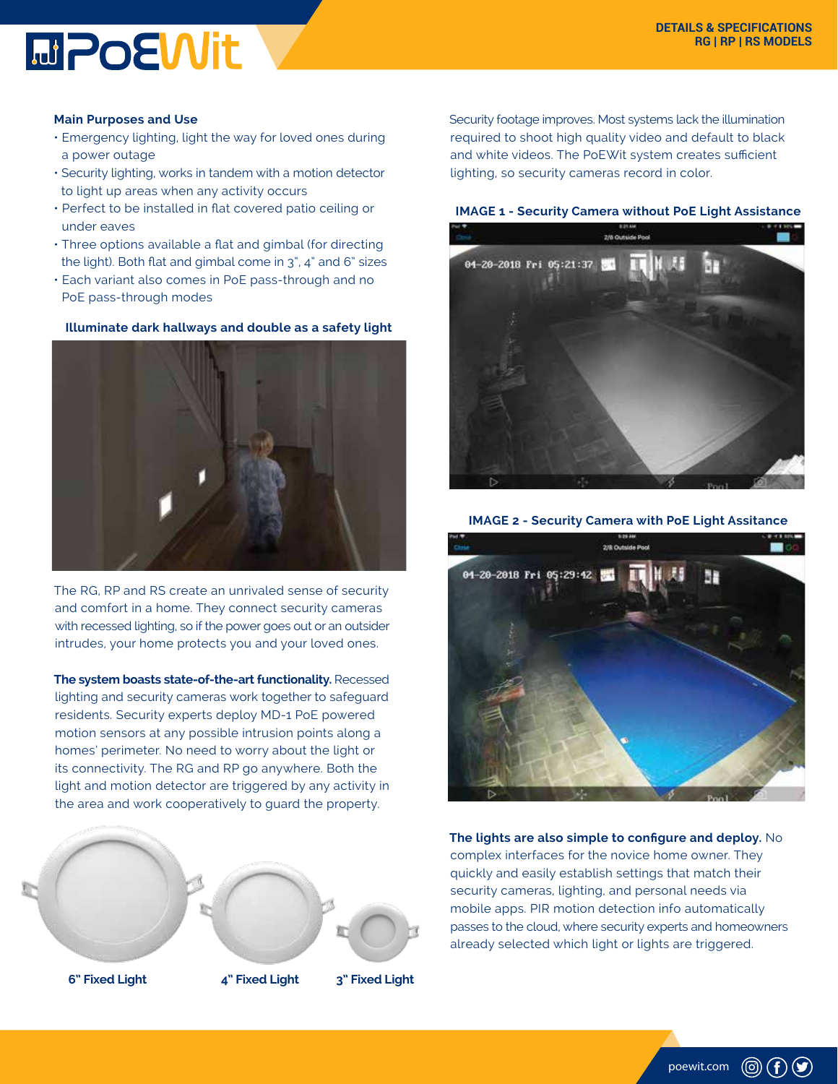#### **Main Purposes and Use**

- Emergency lighting, light the way for loved ones during a power outage
- Security lighting, works in tandem with a motion detector to light up areas when any activity occurs
- Perfect to be installed in flat covered patio ceiling or under eaves
- Three options available a flat and gimbal (for directing the light). Both flat and gimbal come in 3", 4" and 6" sizes
- Each variant also comes in PoE pass-through and no PoE pass-through modes



The RG, RP and RS create an unrivaled sense of security and comfort in a home. They connect security cameras with recessed lighting, so if the power goes out or an outsider intrudes, your home protects you and your loved ones.

**The system boasts state-of-the-art functionality.** Recessed lighting and security cameras work together to safeguard residents. Security experts deploy MD-1 PoE powered motion sensors at any possible intrusion points along a homes' perimeter. No need to worry about the light or its connectivity. The RG and RP go anywhere. Both the light and motion detector are triggered by any activity in the area and work cooperatively to guard the property.



Security footage improves. Most systems lack the illumination required to shoot high quality video and default to black and white videos. The PoEWit system creates sufficient lighting, so security cameras record in color.

#### **IMAGE 1 - Security Camera without PoE Light Assistance**



#### **IMAGE 2 - Security Camera with PoE Light Assitance**



**The lights are also simple to configure and deploy.** No complex interfaces for the novice home owner. They quickly and easily establish settings that match their security cameras, lighting, and personal needs via mobile apps. PIR motion detection info automatically passes to the cloud, where security experts and homeowners already selected which light or lights are triggered.

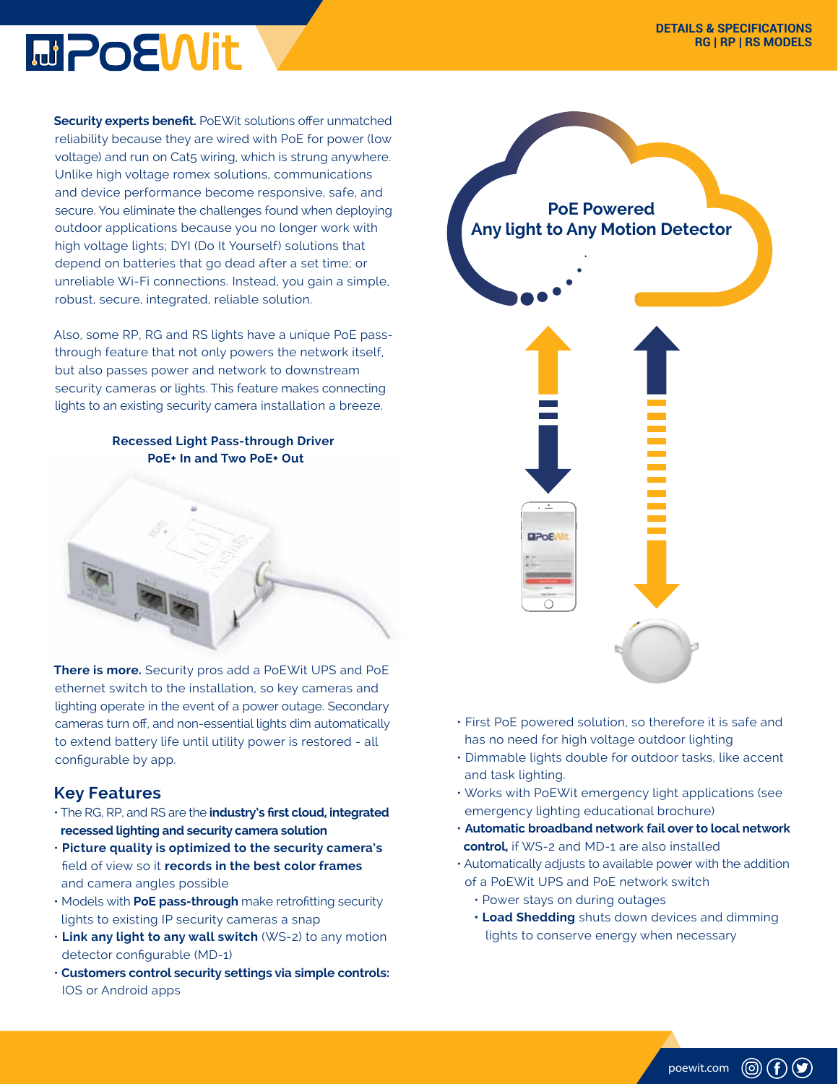

**Security experts benefit.** PoEWit solutions offer unmatched reliability because they are wired with PoE for power (low voltage) and run on Cat5 wiring, which is strung anywhere. Unlike high voltage romex solutions, communications and device performance become responsive, safe, and secure. You eliminate the challenges found when deploying outdoor applications because you no longer work with high voltage lights; DYI (Do It Yourself) solutions that depend on batteries that go dead after a set time; or unreliable Wi-Fi connections. Instead, you gain a simple, robust, secure, integrated, reliable solution.

Also, some RP, RG and RS lights have a unique PoE passthrough feature that not only powers the network itself, but also passes power and network to downstream security cameras or lights. This feature makes connecting lights to an existing security camera installation a breeze.

**Recessed Light Pass-through Driver PoE+ In and Two PoE+ Out**



**There is more.** Security pros add a PoEWit UPS and PoE ethernet switch to the installation, so key cameras and lighting operate in the event of a power outage. Secondary cameras turn off, and non-essential lights dim automatically to extend battery life until utility power is restored - all configurable by app.

#### **Key Features**

- The RG, RP, and RS are the **industry's first cloud, integrated recessed lighting and security camera solution**
- **Picture quality is optimized to the security camera's** field of view so it **records in the best color frames** and camera angles possible
- Models with **PoE pass-through** make retrofitting security lights to existing IP security cameras a snap
- **Link any light to any wall switch** (WS-2) to any motion detector configurable (MD-1)
- **Customers control security settings via simple controls:** IOS or Android apps



- First PoE powered solution, so therefore it is safe and has no need for high voltage outdoor lighting
- Dimmable lights double for outdoor tasks, like accent and task lighting.
- Works with PoEWit emergency light applications (see emergency lighting educational brochure)
- **Automatic broadband network fail over to local network control,** if WS-2 and MD-1 are also installed
- Automatically adjusts to available power with the addition of a PoEWit UPS and PoE network switch
	- Power stays on during outages
	- **Load Shedding** shuts down devices and dimming lights to conserve energy when necessary

poewit.com

 $\circledcirc$   $\bullet$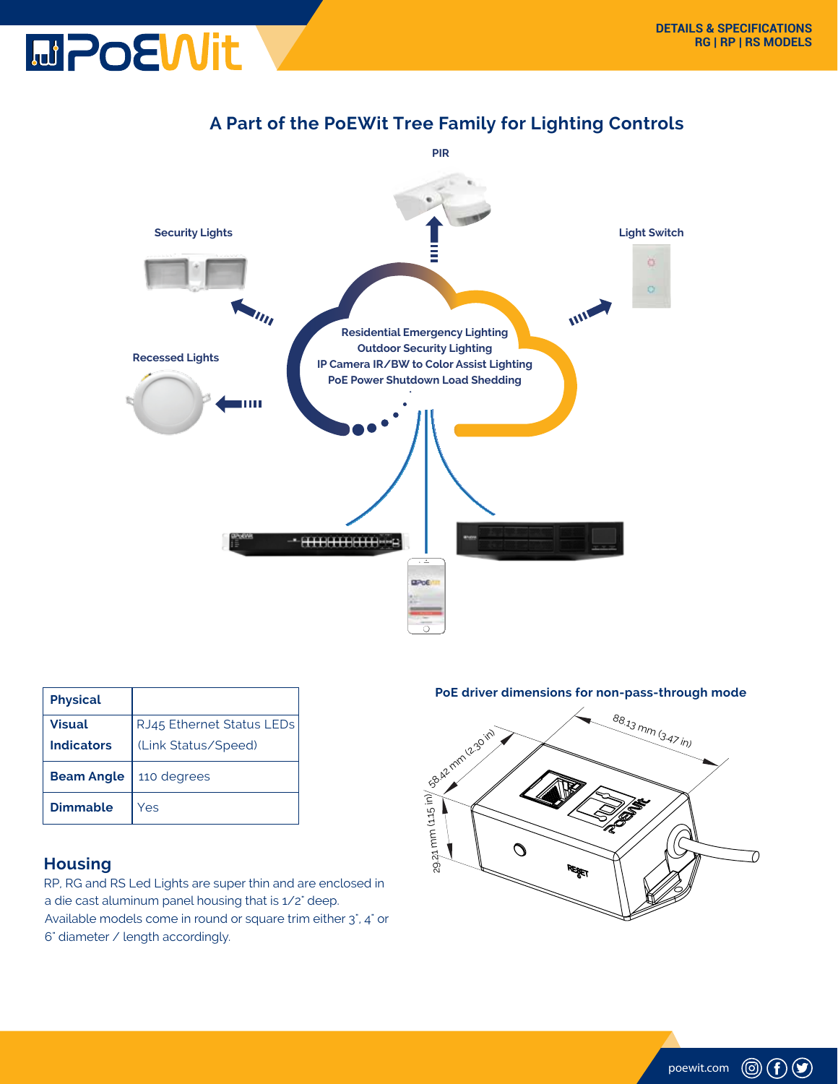# **MPOEWIt**



| A Part of the PoEWit Tree Family for Lighting Controls |  |  |
|--------------------------------------------------------|--|--|
|                                                        |  |  |

| <b>Physical</b>   |                           |
|-------------------|---------------------------|
| <b>Visual</b>     | RJ45 Ethernet Status LEDs |
| <b>Indicators</b> | (Link Status/Speed)       |
| <b>Beam Angle</b> | 110 degrees               |
| <b>Dimmable</b>   | Yes                       |

### **Housing**

RP, RG and RS Led Lights are super thin and are enclosed in a die cast aluminum panel housing that is 1/2" deep. Available models come in round or square trim either 3", 4" or 6" diameter / length accordingly.

#### **PoE driver dimensions for non-pass-through mode**



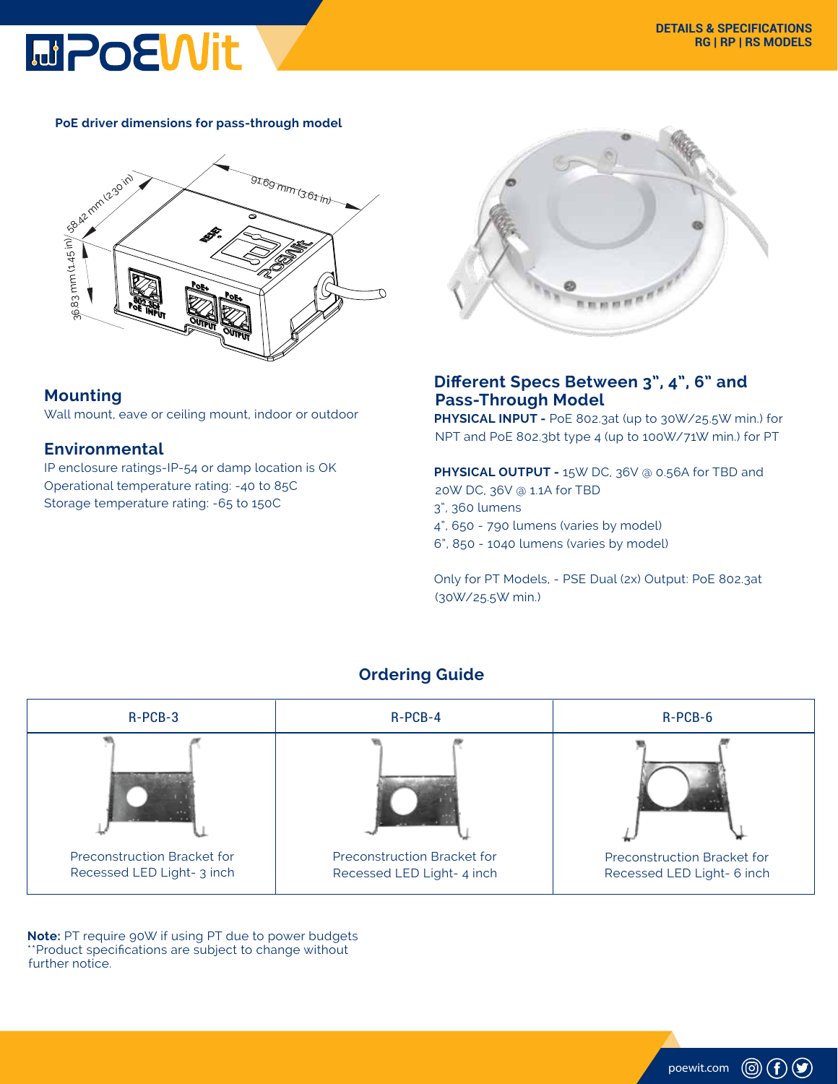#### **PoE driver dimensions for pass-through model**

**MPOEWit** 



#### **Mounting**

Wall mount, eave or ceiling mount, indoor or outdoor

#### **Environmental**

IP enclosure ratings-IP-54 or damp location is OK Operational temperature rating: -40 to 85C Storage temperature rating: -65 to 150C



#### **Different Specs Between 3", 4", 6" and Pass-Through Model**

**PHYSICAL INPUT -** PoE 802.3at (up to 30W/25.5W min.) for NPT and PoE 802.3bt type 4 (up to 100W/71W min.) for PT

**PHYSICAL OUTPUT -** 15W DC, 36V @ 0.56A for TBD and 20W DC, 36V @ 1.1A for TBD 3", 360 lumens 4", 650 - 790 lumens (varies by model) 6", 850 - 1040 lumens (varies by model)

Only for PT Models, - PSE Dual (2x) Output: PoE 802.3at (30W/25.5W min.)

poewit.com

 $\circledcirc$ 



### **Ordering Guide**

**Note:** PT require 90W if using PT due to power budgets \*\*Product specifications are subject to change without further notice.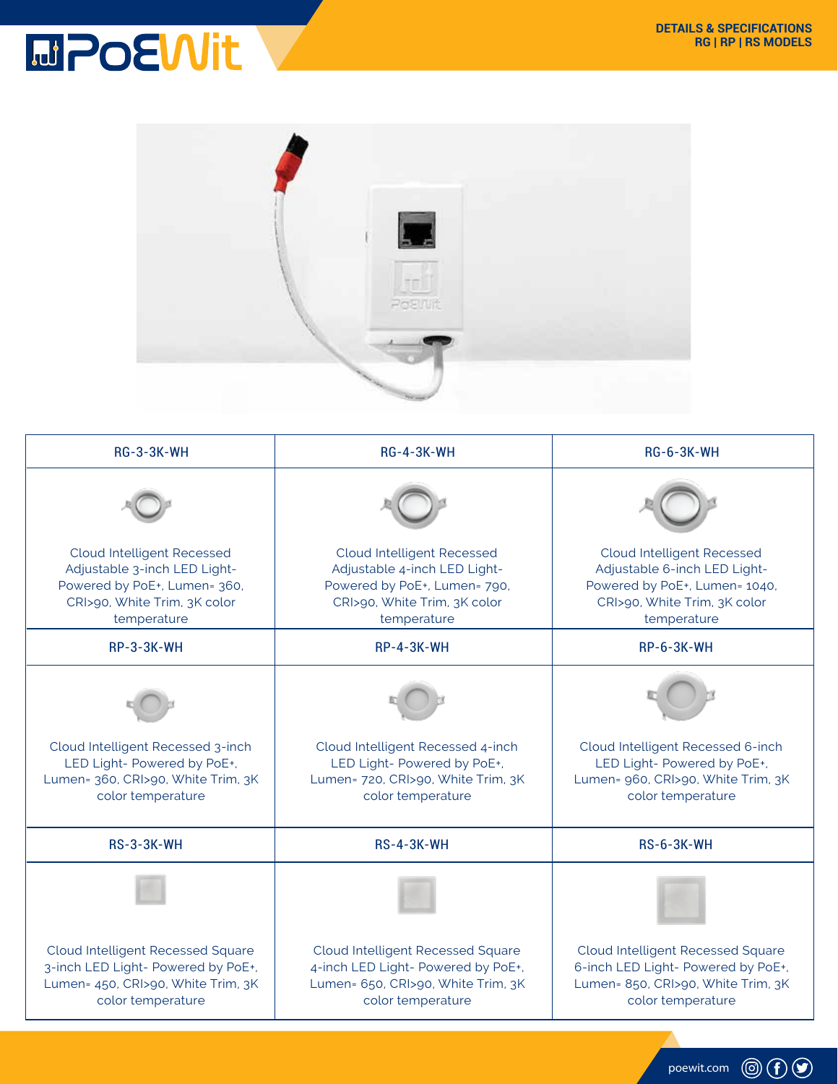

| <b>RG-3-3K-WH</b>                                                                                                                         | <b>RG-4-3K-WH</b>                                                                                                                         | <b>RG-6-3K-WH</b>                                                                                                                                 |  |
|-------------------------------------------------------------------------------------------------------------------------------------------|-------------------------------------------------------------------------------------------------------------------------------------------|---------------------------------------------------------------------------------------------------------------------------------------------------|--|
|                                                                                                                                           |                                                                                                                                           |                                                                                                                                                   |  |
| Cloud Intelligent Recessed<br>Adjustable 3-inch LED Light-<br>Powered by PoE+, Lumen= 360,<br>CRI>90, White Trim, 3K color<br>temperature | Cloud Intelligent Recessed<br>Adjustable 4-inch LED Light-<br>Powered by PoE+, Lumen= 790,<br>CRI>90, White Trim, 3K color<br>temperature | <b>Cloud Intelligent Recessed</b><br>Adjustable 6-inch LED Light-<br>Powered by PoE+, Lumen= 1040,<br>CRI>90, White Trim, 3K color<br>temperature |  |
| <b>RP-3-3K-WH</b>                                                                                                                         | <b>RP-4-3K-WH</b>                                                                                                                         | <b>RP-6-3K-WH</b>                                                                                                                                 |  |
| Cloud Intelligent Recessed 3-inch<br>LED Light- Powered by PoE+,<br>Lumen= 360, CRI>90, White Trim, 3K<br>color temperature               | Cloud Intelligent Recessed 4-inch<br>LED Light- Powered by PoE+,<br>Lumen= 720, CRI>90, White Trim, 3K<br>color temperature               | Cloud Intelligent Recessed 6-inch<br>LED Light- Powered by PoE+,<br>Lumen= 960, CRI>90, White Trim, 3K<br>color temperature                       |  |
| $RS-3-3K-WH$                                                                                                                              | <b>RS-4-3K-WH</b>                                                                                                                         | <b>RS-6-3K-WH</b>                                                                                                                                 |  |
|                                                                                                                                           |                                                                                                                                           |                                                                                                                                                   |  |
| Cloud Intelligent Recessed Square<br>3-inch LED Light- Powered by PoE+,<br>Lumen= 450, CRI>90, White Trim, 3K<br>color temperature        | <b>Cloud Intelligent Recessed Square</b><br>4-inch LED Light- Powered by PoE+,<br>Lumen= 650, CRI>90, White Trim, 3K<br>color temperature | Cloud Intelligent Recessed Square<br>6-inch LED Light- Powered by PoE+,<br>Lumen= 850, CRI>90, White Trim, 3K<br>color temperature                |  |

poewit.com  $\textcircled{\scriptsize{0}}$   $\textcircled{\scriptsize{1}}$